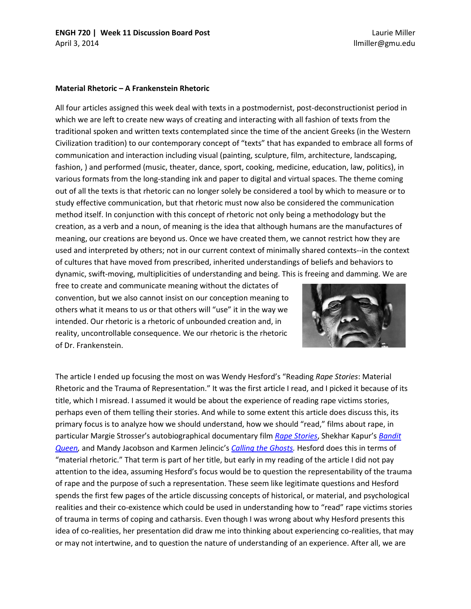Laurie Miller llmiller@gmu.edu

## **Material Rhetoric – A Frankenstein Rhetoric**

All four articles assigned this week deal with texts in a postmodernist, post-deconstructionist period in which we are left to create new ways of creating and interacting with all fashion of texts from the traditional spoken and written texts contemplated since the time of the ancient Greeks (in the Western Civilization tradition) to our contemporary concept of "texts" that has expanded to embrace all forms of communication and interaction including visual (painting, sculpture, film, architecture, landscaping, fashion, ) and performed (music, theater, dance, sport, cooking, medicine, education, law, politics), in various formats from the long-standing ink and paper to digital and virtual spaces. The theme coming out of all the texts is that rhetoric can no longer solely be considered a tool by which to measure or to study effective communication, but that rhetoric must now also be considered the communication method itself. In conjunction with this concept of rhetoric not only being a methodology but the creation, as a verb and a noun, of meaning is the idea that although humans are the manufactures of meaning, our creations are beyond us. Once we have created them, we cannot restrict how they are used and interpreted by others; not in our current context of minimally shared contexts--in the context of cultures that have moved from prescribed, inherited understandings of beliefs and behaviors to dynamic, swift-moving, multiplicities of understanding and being. This is freeing and damming. We are

free to create and communicate meaning without the dictates of convention, but we also cannot insist on our conception meaning to others what it means to us or that others will "use" it in the way we intended. Our rhetoric is a rhetoric of unbounded creation and, in reality, uncontrollable consequence. We our rhetoric is the rhetoric of Dr. Frankenstein.



The article I ended up focusing the most on was Wendy Hesford's "Reading *Rape Stories*: Material Rhetoric and the Trauma of Representation." It was the first article I read, and I picked it because of its title, which I misread. I assumed it would be about the experience of reading rape victims stories, perhaps even of them telling their stories. And while to some extent this article does discuss this, its primary focus is to analyze how we should understand, how we should "read," films about rape, in particular Margie Strosser's autobiographical documentary film *[Rape Stories](http://scribe.org/catalogue/rapestories)*, Shekhar Kapur's *[Bandit](http://www.ovguide.com/bandit-queen-9202a8c04000641f80000000002861e9)  [Queen,](http://www.ovguide.com/bandit-queen-9202a8c04000641f80000000002861e9)* and Mandy Jacobson and Karmen Jelincic's *[Calling the Ghosts.](http://www.ovguide.com/calling-the-ghosts-9202a8c04000641f800000001dcc0b4a)* Hesford does this in terms of "material rhetoric." That term is part of her title, but early in my reading of the article I did not pay attention to the idea, assuming Hesford's focus would be to question the representability of the trauma of rape and the purpose of such a representation. These seem like legitimate questions and Hesford spends the first few pages of the article discussing concepts of historical, or material, and psychological realities and their co-existence which could be used in understanding how to "read" rape victims stories of trauma in terms of coping and catharsis. Even though I was wrong about why Hesford presents this idea of co-realities, her presentation did draw me into thinking about experiencing co-realities, that may or may not intertwine, and to question the nature of understanding of an experience. After all, we are